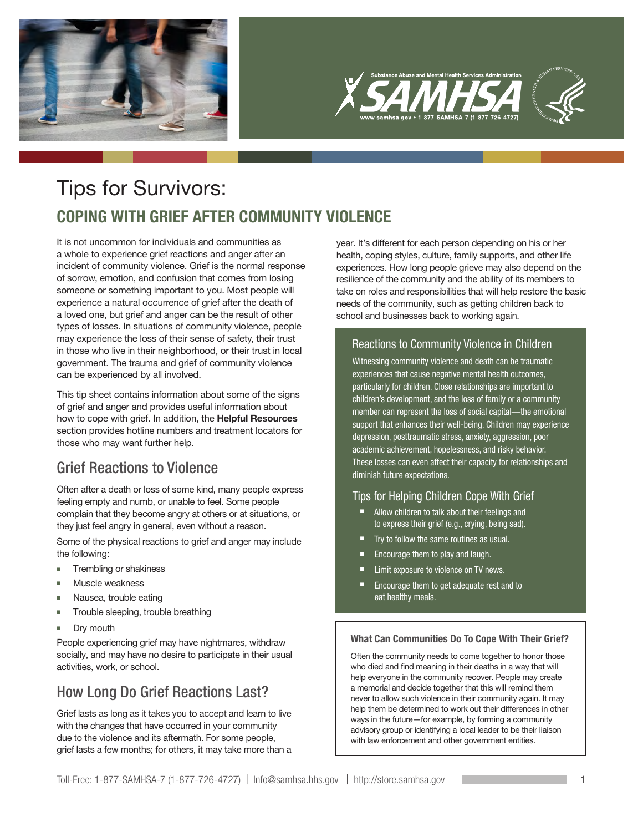



# Tips for Survivors: **COPING WITH GRIEF AFTER COMMUNITY VIOLENCE**

It is not uncommon for individuals and communities as a whole to experience grief reactions and anger after an incident of community violence. Grief is the normal response of sorrow, emotion, and confusion that comes from losing someone or something important to you. Most people will experience a natural occurrence of grief after the death of a loved one, but grief and anger can be the result of other types of losses. In situations of community violence, people may experience the loss of their sense of safety, their trust in those who live in their neighborhood, or their trust in local government. The trauma and grief of community violence can be experienced by all involved.

This tip sheet contains information about some of the signs of grief and anger and provides useful information about how to cope with grief. In addition, the **Helpful Resources** section provides hotline numbers and treatment locators for those who may want further help.

### Grief Reactions to Violence

Often after a death or loss of some kind, many people express feeling empty and numb, or unable to feel. Some people complain that they become angry at others or at situations, or they just feel angry in general, even without a reason.

Some of the physical reactions to grief and anger may include the following:

- Trembling or shakiness
- Muscle weakness
- Nausea, trouble eating
- Trouble sleeping, trouble breathing
- $\blacksquare$  Dry mouth

People experiencing grief may have nightmares, withdraw socially, and may have no desire to participate in their usual activities, work, or school.

## How Long Do Grief Reactions Last?

Grief lasts as long as it takes you to accept and learn to live with the changes that have occurred in your community due to the violence and its aftermath. For some people, grief lasts a few months; for others, it may take more than a year. It's different for each person depending on his or her health, coping styles, culture, family supports, and other life experiences. How long people grieve may also depend on the resilience of the community and the ability of its members to take on roles and responsibilities that will help restore the basic needs of the community, such as getting children back to school and businesses back to working again.

#### Reactions to Community Violence in Children

Witnessing community violence and death can be traumatic experiences that cause negative mental health outcomes, particularly for children. Close relationships are important to children's development, and the loss of family or a community member can represent the loss of social capital—the emotional support that enhances their well-being. Children may experience depression, posttraumatic stress, anxiety, aggression, poor academic achievement, hopelessness, and risky behavior. These losses can even affect their capacity for relationships and diminish future expectations.

#### Tips for Helping Children Cope With Grief

- Allow children to talk about their feelings and to express their grief (e.g., crying, being sad).
- Try to follow the same routines as usual.
- Encourage them to play and laugh.
- Limit exposure to violence on TV news.
- <sup>n</sup> Encourage them to get adequate rest and to eat healthy meals.

#### What Can Communities Do To Cope With Their Grief?

Often the community needs to come together to honor those who died and find meaning in their deaths in a way that will help everyone in the community recover. People may create a memorial and decide together that this will remind them never to allow such violence in their community again. It may help them be determined to work out their differences in other ways in the future—for example, by forming a community advisory group or identifying a local leader to be their liaison with law enforcement and other government entities.